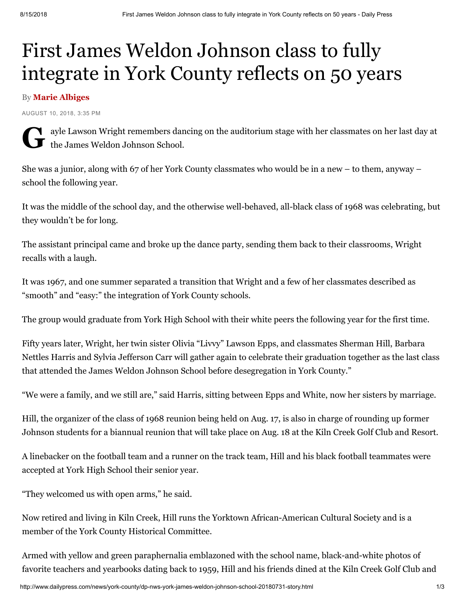## First James Weldon Johnson class to fully integrate in York County reflects on 50 years

## By Marie Albiges

AUGUST 10, 2018, 3:35 PM

Gulle Lawson Wright remembers dan the James Weldon Johnson School. v ayle Lawson Wright remembers dancing on the auditorium stage with her classmates on her last day at

She was a junior, along with 67 of her York County classmates who would be in a new – to them, anyway – school the following year.

It was the middle of the school day, and the otherwise well-behaved, all-black class of 1968 was celebrating, but they wouldn't be for long.

The assistant principal came and broke up the dance party, sending them back to their classrooms, Wright recalls with a laugh.

It was 1967, and one summer separated a transition that Wright and a few of her classmates described as "smooth" and "easy:" the integration of York County schools.

The group would graduate from York High School with their white peers the following year for the first time.

Fifty years later, Wright, her twin sister Olivia "Livvy" Lawson Epps, and classmates Sherman Hill, Barbara Nettles Harris and Sylvia Jefferson Carr will gather again to celebrate their graduation together as the last class that attended the James Weldon Johnson School before desegregation in York County."

"We were a family, and we still are," said Harris, sitting between Epps and White, now her sisters by marriage.

Hill, the organizer of the class of 1968 reunion being held on Aug. 17, is also in charge of rounding up former Johnson students for a biannual reunion that will take place on Aug. 18 at the Kiln Creek Golf Club and Resort.

A linebacker on the football team and a runner on the track team, Hill and his black football teammates were accepted at York High School their senior year.

"They welcomed us with open arms," he said.

Now retired and living in Kiln Creek, Hill runs the Yorktown African-American Cultural Society and is a member of the York County Historical Committee.

Armed with yellow and green paraphernalia emblazoned with the school name, black-and-white photos of favorite teachers and yearbooks dating back to 1959, Hill and his friends dined at the Kiln Creek Golf Club and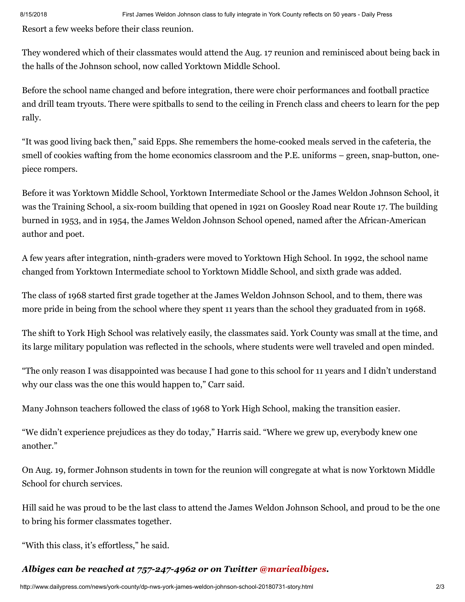Resort a few weeks before their class reunion.

They wondered which of their classmates would attend the Aug. 17 reunion and reminisced about being back in the halls of the Johnson school, now called Yorktown Middle School.

Before the school name changed and before integration, there were choir performances and football practice and drill team tryouts. There were spitballs to send to the ceiling in French class and cheers to learn for the pep rally.

"It was good living back then," said Epps. She remembers the home-cooked meals served in the cafeteria, the smell of cookies wafting from the home economics classroom and the P.E. uniforms – green, snap-button, onepiece rompers.

Before it was Yorktown Middle School, Yorktown Intermediate School or the James Weldon Johnson School, it was the Training School, a six-room building that opened in 1921 on Goosley Road near Route 17. The building burned in 1953, and in 1954, the James Weldon Johnson School opened, named after the African-American author and poet.

A few years after integration, ninth-graders were moved to Yorktown High School. In 1992, the school name changed from Yorktown Intermediate school to Yorktown Middle School, and sixth grade was added.

The class of 1968 started first grade together at the James Weldon Johnson School, and to them, there was more pride in being from the school where they spent 11 years than the school they graduated from in 1968.

The shift to York High School was relatively easily, the classmates said. York County was small at the time, and its large military population was reflected in the schools, where students were well traveled and open minded.

"The only reason I was disappointed was because I had gone to this school for 11 years and I didn't understand why our class was the one this would happen to," Carr said.

Many Johnson teachers followed the class of 1968 to York High School, making the transition easier.

"We didn't experience prejudices as they do today," Harris said. "Where we grew up, everybody knew one another."

On Aug. 19, former Johnson students in town for the reunion will congregate at what is now Yorktown Middle School for church services.

Hill said he was proud to be the last class to attend the James Weldon Johnson School, and proud to be the one to bring his former classmates together.

"With this class, it's effortless," he said.

## *Albiges can be reached at 757-247-4962 or on Twitter [@mariealbiges.](http://twitter.com/mariealbiges)*